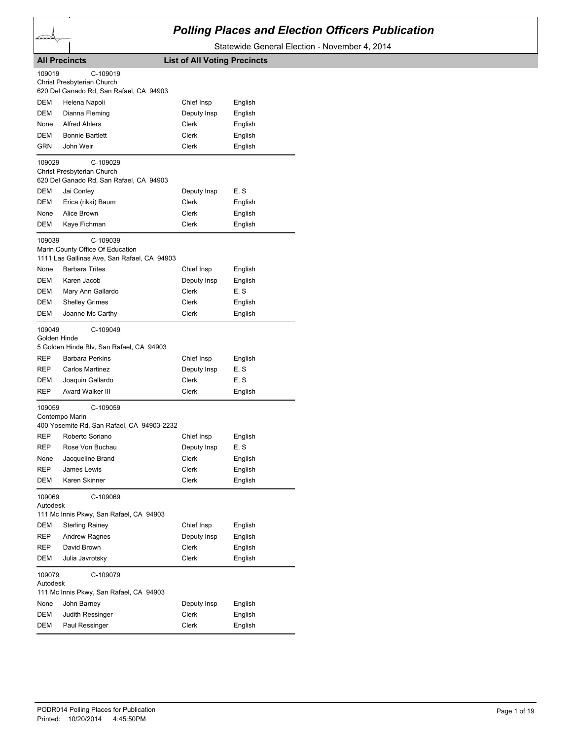

## *Polling Places and Election Officers Publication*

Statewide General Election - November 4, 2014

|                                                    | <b>All Precincts</b>                                                                                                                             | <b>List of All Voting Precincts</b>         |                                    |
|----------------------------------------------------|--------------------------------------------------------------------------------------------------------------------------------------------------|---------------------------------------------|------------------------------------|
| 109019                                             | C-109019<br>Christ Presbyterian Church<br>620 Del Ganado Rd, San Rafael, CA 94903                                                                |                                             |                                    |
| DEM                                                | Helena Napoli                                                                                                                                    | Chief Insp                                  | English                            |
| DEM                                                | Dianna Fleming                                                                                                                                   | Deputy Insp                                 | English                            |
| None                                               | <b>Alfred Ahlers</b>                                                                                                                             | Clerk                                       | English                            |
| DEM                                                | <b>Bonnie Bartlett</b>                                                                                                                           | Clerk                                       | English                            |
| GRN                                                | John Weir                                                                                                                                        | Clerk                                       | English                            |
| 109029                                             | C-109029<br>Christ Presbyterian Church<br>620 Del Ganado Rd, San Rafael, CA 94903                                                                |                                             |                                    |
| DEM                                                | Jai Conley                                                                                                                                       | Deputy Insp                                 | E, S                               |
| DEM                                                | Erica (rikki) Baum                                                                                                                               | Clerk                                       | English                            |
| None                                               | Alice Brown                                                                                                                                      | Clerk                                       | English                            |
| DEM                                                | Kaye Fichman                                                                                                                                     | Clerk                                       | English                            |
| 109039                                             | C-109039<br>Marin County Office Of Education<br>1111 Las Gallinas Ave, San Rafael, CA 94903                                                      |                                             |                                    |
| None                                               | <b>Barbara Trites</b>                                                                                                                            | Chief Insp                                  | English                            |
| DEM                                                | Karen Jacob                                                                                                                                      | Deputy Insp                                 | English                            |
| DEM                                                | Mary Ann Gallardo                                                                                                                                | Clerk                                       | E, S                               |
| DEM                                                | <b>Shelley Grimes</b>                                                                                                                            | Clerk                                       | English                            |
| DEM                                                | Joanne Mc Carthy                                                                                                                                 | Clerk                                       | English                            |
| 109049<br>Golden Hinde<br>REP<br>REP<br>DEM<br>REP | C-109049<br>5 Golden Hinde Blv, San Rafael, CA 94903<br><b>Barbara Perkins</b><br><b>Carlos Martinez</b><br>Joaquin Gallardo<br>Avard Walker III | Chief Insp<br>Deputy Insp<br>Clerk<br>Clerk | English<br>E, S<br>E, S<br>English |
| 109059                                             | C-109059                                                                                                                                         |                                             |                                    |
|                                                    | Contempo Marin<br>400 Yosemite Rd, San Rafael, CA 94903-2232                                                                                     |                                             |                                    |
| REP                                                | Roberto Soriano                                                                                                                                  | Chief Insp                                  | English                            |
| REP                                                | Rose Von Buchau                                                                                                                                  | Deputy Insp                                 | E, S                               |
| None                                               | Jacqueline Brand                                                                                                                                 | Clerk                                       | English                            |
| REP                                                | James Lewis                                                                                                                                      | Clerk                                       | English                            |
| DEM                                                | Karen Skinner                                                                                                                                    | Clerk                                       | English                            |
| 109069<br>Autodesk                                 | C-109069<br>111 Mc Innis Pkwy, San Rafael, CA 94903                                                                                              |                                             |                                    |
| DEM                                                | <b>Sterling Rainey</b>                                                                                                                           | Chief Insp                                  | English                            |
| <b>REP</b>                                         | <b>Andrew Ragnes</b>                                                                                                                             | Deputy Insp                                 | English                            |
| REP                                                | David Brown                                                                                                                                      | Clerk                                       | English                            |
| <b>DEM</b>                                         | Julia Javrotsky                                                                                                                                  | Clerk                                       | English                            |
| 109079<br>Autodesk                                 | C-109079                                                                                                                                         |                                             |                                    |
|                                                    | 111 Mc Innis Pkwy, San Rafael, CA 94903                                                                                                          |                                             |                                    |
| None                                               | John Barney                                                                                                                                      | Deputy Insp                                 | English                            |
| DEM                                                | Judith Ressinger                                                                                                                                 | Clerk                                       | English                            |
| DEM                                                | Paul Ressinger                                                                                                                                   | Clerk                                       | English                            |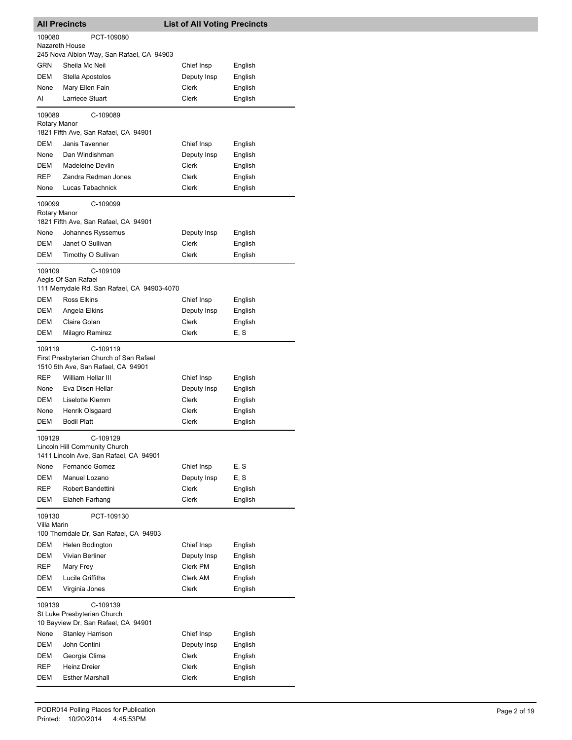|                        | <b>All Precincts</b>                                                                | <b>List of All Voting Precincts</b> |         |
|------------------------|-------------------------------------------------------------------------------------|-------------------------------------|---------|
| 109080                 | PCT-109080                                                                          |                                     |         |
| Nazareth House         |                                                                                     |                                     |         |
|                        | 245 Nova Albion Way, San Rafael, CA 94903                                           |                                     |         |
| <b>GRN</b>             | Sheila Mc Neil                                                                      | Chief Insp                          | English |
| DEM                    | Stella Apostolos                                                                    | Deputy Insp                         | English |
| None                   | Mary Ellen Fain                                                                     | Clerk                               | English |
| AI                     | Larriece Stuart                                                                     | Clerk                               | English |
| 109089                 | C-109089                                                                            |                                     |         |
| Rotary Manor           |                                                                                     |                                     |         |
|                        | 1821 Fifth Ave, San Rafael, CA 94901                                                |                                     |         |
| DEM                    | Janis Tavenner                                                                      | Chief Insp                          | English |
| None                   | Dan Windishman                                                                      | Deputy Insp                         | English |
| DEM                    | Madeleine Devlin                                                                    | Clerk                               | English |
| <b>REP</b>             | Zandra Redman Jones                                                                 | Clerk                               | English |
| None                   | Lucas Tabachnick                                                                    | Clerk                               | English |
| 109099<br>Rotary Manor | C-109099                                                                            |                                     |         |
|                        | 1821 Fifth Ave, San Rafael, CA 94901                                                |                                     |         |
| None                   | Johannes Ryssemus                                                                   | Deputy Insp                         | English |
| <b>DEM</b>             | Janet O Sullivan                                                                    | Clerk                               | English |
| DEM                    | Timothy O Sullivan                                                                  | Clerk                               | English |
| 109109                 | C-109109                                                                            |                                     |         |
|                        | Aegis Of San Rafael                                                                 |                                     |         |
|                        | 111 Merrydale Rd, San Rafael, CA 94903-4070                                         |                                     |         |
| DEM                    | <b>Ross Elkins</b>                                                                  | Chief Insp                          | English |
| DEM                    | Angela Elkins                                                                       | Deputy Insp                         | English |
| DEM                    | Claire Golan                                                                        | Clerk                               | English |
| <b>DEM</b>             | Milagro Ramirez                                                                     | Clerk                               | E, S    |
| 109119                 | C-109119                                                                            |                                     |         |
|                        | First Presbyterian Church of San Rafael<br>1510 5th Ave, San Rafael, CA 94901       |                                     |         |
| <b>REP</b>             | William Hellar III                                                                  | Chief Insp                          | English |
| None                   | Eva Disen Hellar                                                                    | Deputy Insp                         | English |
| DEM                    | Liselotte Klemm                                                                     | Clerk                               | English |
| None                   | Henrik Olsgaard                                                                     | Clerk                               | English |
| DEM                    | <b>Bodil Platt</b>                                                                  | Clerk                               | English |
| 109129                 | C-109129<br>Lincoln Hill Community Church<br>1411 Lincoln Ave, San Rafael, CA 94901 |                                     |         |
| None                   | Fernando Gomez                                                                      | Chief Insp                          | E, S    |
| DEM                    | Manuel Lozano                                                                       | Deputy Insp                         | E, S    |
| REP                    | Robert Bandettini                                                                   | Clerk                               | English |
| DEM                    | Elaheh Farhang                                                                      | Clerk                               | English |
| 109130<br>Villa Marin  | PCT-109130                                                                          |                                     |         |
|                        | 100 Thorndale Dr, San Rafael, CA 94903                                              |                                     |         |
| DEM                    | Helen Bodington                                                                     | Chief Insp                          | English |
| <b>DEM</b>             | Vivian Berliner                                                                     | Deputy Insp                         | English |
| REP                    | Mary Frey                                                                           | Clerk PM                            | English |
| DEM                    | Lucile Griffiths                                                                    | Clerk AM                            | English |
| DEM                    | Virginia Jones                                                                      | Clerk                               | English |
| 109139                 | C-109139<br>St Luke Presbyterian Church<br>10 Bayview Dr, San Rafael, CA 94901      |                                     |         |
| None                   | <b>Stanley Harrison</b>                                                             | Chief Insp                          | English |
| DEM                    | John Contini                                                                        | Deputy Insp                         | English |
| DEM                    | Georgia Clima                                                                       | Clerk                               | English |
| REP                    | <b>Heinz Dreier</b>                                                                 | Clerk                               | English |
| DEM                    | <b>Esther Marshall</b>                                                              | Clerk                               | English |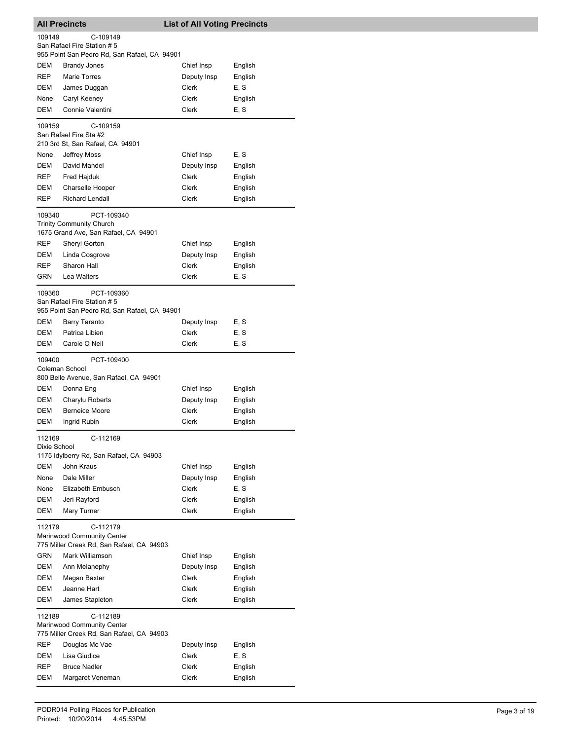|                        | <b>All Precincts</b>                                                    | <b>List of All Voting Precincts</b> |         |
|------------------------|-------------------------------------------------------------------------|-------------------------------------|---------|
| 109149                 | C-109149                                                                |                                     |         |
|                        | San Rafael Fire Station #5                                              |                                     |         |
|                        | 955 Point San Pedro Rd, San Rafael, CA 94901                            |                                     |         |
| DEM                    | <b>Brandy Jones</b>                                                     | Chief Insp                          | English |
| REP                    | <b>Marie Torres</b>                                                     | Deputy Insp                         | English |
| DEM                    | James Duggan                                                            | Clerk                               | E, S    |
| None                   | Caryl Keeney                                                            | Clerk                               | English |
| DEM                    | Connie Valentini                                                        | Clerk                               | E, S    |
|                        |                                                                         |                                     |         |
| 109159                 | C-109159                                                                |                                     |         |
|                        | San Rafael Fire Sta #2                                                  |                                     |         |
|                        | 210 3rd St, San Rafael, CA 94901                                        |                                     |         |
| None                   | Jeffrey Moss                                                            | Chief Insp                          | E, S    |
| DEM                    | David Mandel                                                            | Deputy Insp                         | English |
| REP                    | Fred Hajduk                                                             | Clerk                               | English |
| DEM                    | Charselle Hooper                                                        | Clerk                               | English |
| REP                    | <b>Richard Lendall</b>                                                  | Clerk                               | English |
|                        |                                                                         |                                     |         |
| 109340                 | PCT-109340                                                              |                                     |         |
|                        | <b>Trinity Community Church</b><br>1675 Grand Ave, San Rafael, CA 94901 |                                     |         |
|                        |                                                                         |                                     |         |
| REP                    | Sheryl Gorton                                                           | Chief Insp                          | English |
| DEM                    | Linda Cosgrove                                                          | Deputy Insp                         | English |
| REP                    | Sharon Hall                                                             | Clerk                               | English |
| GRN                    | Lea Walters                                                             | Clerk                               | E, S    |
| 109360                 | PCT-109360                                                              |                                     |         |
|                        | San Rafael Fire Station # 5                                             |                                     |         |
|                        | 955 Point San Pedro Rd, San Rafael, CA 94901                            |                                     |         |
| DEM                    | <b>Barry Taranto</b>                                                    | Deputy Insp                         | E, S    |
| DEM                    | Patrica Libien                                                          | Clerk                               | E, S    |
| DEM                    | Carole O Neil                                                           | Clerk                               | E, S    |
|                        |                                                                         |                                     |         |
| 109400                 | PCT-109400                                                              |                                     |         |
|                        | Coleman School                                                          |                                     |         |
|                        | 800 Belle Avenue, San Rafael, CA 94901                                  |                                     |         |
| DEM                    | Donna Eng                                                               | Chief Insp                          | English |
| <b>DEM</b>             | Charylu Roberts                                                         | Deputy Insp                         | English |
| <b>DEM</b>             | <b>Berneice Moore</b>                                                   | <b>Clerk</b>                        | English |
| DEM                    | Ingrid Rubin                                                            | Clerk                               | English |
|                        |                                                                         |                                     |         |
| 112169<br>Dixie School | C-112169                                                                |                                     |         |
|                        | 1175 Idylberry Rd, San Rafael, CA 94903                                 |                                     |         |
| <b>DEM</b>             | John Kraus                                                              | Chief Insp                          | English |
| None                   | Dale Miller                                                             | Deputy Insp                         | English |
| None                   | Elizabeth Embusch                                                       | Clerk                               | E, S    |
|                        |                                                                         | Clerk                               |         |
| DEM                    | Jeri Rayford                                                            |                                     | English |
| DEM                    | Mary Turner                                                             | Clerk                               | English |
| 112179                 | C-112179                                                                |                                     |         |
|                        | Marinwood Community Center                                              |                                     |         |
|                        | 775 Miller Creek Rd, San Rafael, CA 94903                               |                                     |         |
| GRN                    | Mark Williamson                                                         | Chief Insp                          | English |
| DEM                    | Ann Melanephy                                                           | Deputy Insp                         | English |
| DEM                    | Megan Baxter                                                            | Clerk                               | English |
| DEM                    | Jeanne Hart                                                             | Clerk                               | English |
| DEM                    | James Stapleton                                                         | Clerk                               | English |
|                        |                                                                         |                                     |         |
| 112189                 | C-112189                                                                |                                     |         |
|                        | Marinwood Community Center                                              |                                     |         |
|                        | 775 Miller Creek Rd, San Rafael, CA 94903                               |                                     |         |
| REP                    | Douglas Mc Vae                                                          | Deputy Insp                         | English |
| DEM                    | Lisa Giudice                                                            | Clerk                               | E, S    |
| REP                    | <b>Bruce Nadler</b>                                                     | Clerk                               | English |
| DEM                    | Margaret Veneman                                                        | Clerk                               | English |
|                        |                                                                         |                                     |         |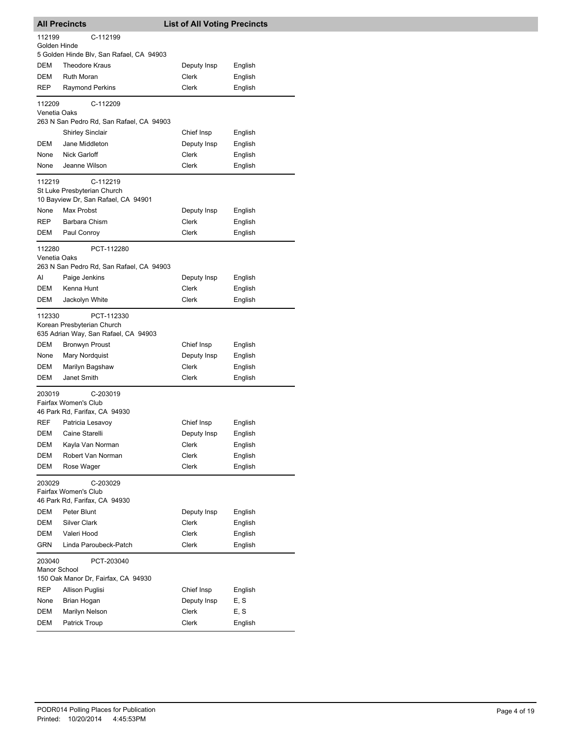| <b>All Precincts</b>   |                                                                                  | <b>List of All Voting Precincts</b> |         |
|------------------------|----------------------------------------------------------------------------------|-------------------------------------|---------|
| 112199                 | C-112199                                                                         |                                     |         |
| Golden Hinde           | 5 Golden Hinde Blv, San Rafael, CA 94903                                         |                                     |         |
| DEM                    | <b>Theodore Kraus</b>                                                            | Deputy Insp                         | English |
| DEM                    | <b>Ruth Moran</b>                                                                | <b>Clerk</b>                        | English |
| REP                    | Raymond Perkins                                                                  | Clerk                               | English |
|                        |                                                                                  |                                     |         |
| 112209<br>Venetia Oaks | C-112209<br>263 N San Pedro Rd, San Rafael, CA 94903                             |                                     |         |
|                        | <b>Shirley Sinclair</b>                                                          | Chief Insp                          | English |
| DEM                    | Jane Middleton                                                                   | Deputy Insp                         | English |
| None                   | Nick Garloff                                                                     | Clerk                               | English |
| None                   | Jeanne Wilson                                                                    | Clerk                               | English |
|                        |                                                                                  |                                     |         |
| 112219                 | C-112219<br>St Luke Presbyterian Church<br>10 Bayview Dr, San Rafael, CA 94901   |                                     |         |
| None                   | Max Probst                                                                       | Deputy Insp                         | English |
| REP                    | Barbara Chism                                                                    | Clerk                               | English |
| DEM                    | Paul Conroy                                                                      | Clerk                               | English |
| 112280<br>Venetia Oaks | PCT-112280                                                                       |                                     |         |
|                        | 263 N San Pedro Rd, San Rafael, CA 94903                                         |                                     |         |
| AI                     | Paige Jenkins                                                                    | Deputy Insp                         | English |
| DEM                    | Kenna Hunt                                                                       | Clerk                               | English |
| DEM                    | Jackolyn White                                                                   | Clerk                               | English |
| 112330                 | PCT-112330<br>Korean Presbyterian Church<br>635 Adrian Way, San Rafael, CA 94903 |                                     |         |
| DEM                    | Bronwyn Proust                                                                   | Chief Insp                          | English |
| None                   | Mary Nordquist                                                                   | Deputy Insp                         | English |
| DEM                    | Marilyn Bagshaw                                                                  | Clerk                               | English |
| DEM                    | Janet Smith                                                                      | Clerk                               | English |
| 203019                 | C-203019                                                                         |                                     |         |
|                        | Fairfax Women's Club                                                             |                                     |         |
|                        | 46 Park Rd, Farifax, CA 94930                                                    |                                     |         |
| REF                    | Patricia Lesavoy                                                                 | Chief Insp                          | English |
| DEM                    | Caine Starelli                                                                   | Deputy Insp                         | English |
| DEM                    | Kayla Van Norman                                                                 | Clerk                               | English |
| DEM                    | Robert Van Norman                                                                | Clerk                               | English |
| <b>DEM</b>             | Rose Wager                                                                       | Clerk                               | English |
| 203029                 | C-203029<br>Fairfax Women's Club                                                 |                                     |         |
|                        | 46 Park Rd, Farifax, CA 94930                                                    |                                     |         |
| DEM                    | Peter Blunt<br><b>Silver Clark</b>                                               | Deputy Insp                         | English |
| DEM                    |                                                                                  | Clerk                               | English |
| DEM                    | Valeri Hood                                                                      | Clerk                               | English |
| GRN                    | Linda Paroubeck-Patch                                                            | Clerk                               | English |
| 203040<br>Manor School | PCT-203040<br>150 Oak Manor Dr, Fairfax, CA 94930                                |                                     |         |
| REP                    | Allison Puglisi                                                                  | Chief Insp                          | English |
| None                   | Brian Hogan                                                                      | Deputy Insp                         | E, S    |
| DEM                    | Marilyn Nelson                                                                   | Clerk                               | E, S    |
| DEM                    | Patrick Troup                                                                    | Clerk                               | English |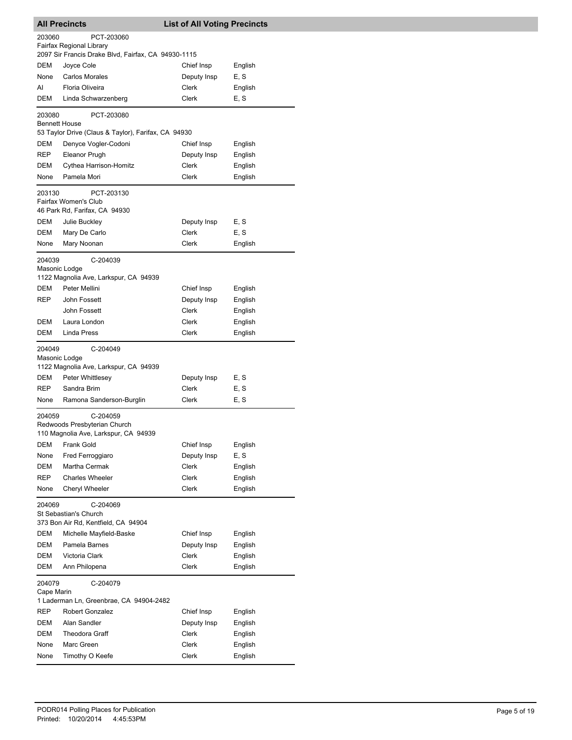| <b>All Precincts</b>    |                                                                                  | <b>List of All Voting Precincts</b> |         |
|-------------------------|----------------------------------------------------------------------------------|-------------------------------------|---------|
| 203060                  | PCT-203060                                                                       |                                     |         |
|                         | Fairfax Regional Library                                                         |                                     |         |
|                         | 2097 Sir Francis Drake Blvd, Fairfax, CA 94930-1115                              |                                     |         |
| DEM                     | Joyce Cole                                                                       | Chief Insp                          | English |
| None                    | <b>Carlos Morales</b>                                                            | Deputy Insp                         | E, S    |
| AI                      | Floria Oliveira                                                                  | Clerk                               | English |
| DEM                     | Linda Schwarzenberg                                                              | Clerk                               | E, S    |
| 203080                  | PCT-203080                                                                       |                                     |         |
| <b>Bennett House</b>    | 53 Taylor Drive (Claus & Taylor), Farifax, CA 94930                              |                                     |         |
| DEM                     | Denyce Vogler-Codoni                                                             | Chief Insp                          | English |
| REP                     | Eleanor Prugh                                                                    | Deputy Insp                         | English |
| DEM                     | Cythea Harrison-Homitz                                                           | Clerk                               | English |
| None                    | Pamela Mori                                                                      | Clerk                               | English |
|                         |                                                                                  |                                     |         |
| 203130                  | PCT-203130<br>Fairfax Women's Club                                               |                                     |         |
|                         | 46 Park Rd, Farifax, CA 94930                                                    |                                     |         |
| DEM                     | Julie Buckley                                                                    | Deputy Insp                         | E, S    |
| DEM                     | Mary De Carlo                                                                    | Clerk                               | E, S    |
| None                    | Mary Noonan                                                                      | Clerk                               | English |
|                         |                                                                                  |                                     |         |
| 204039<br>Masonic Lodge | C-204039                                                                         |                                     |         |
|                         | 1122 Magnolia Ave, Larkspur, CA 94939                                            |                                     |         |
| DEM                     | Peter Mellini                                                                    | Chief Insp                          | English |
| <b>REP</b>              | John Fossett                                                                     | Deputy Insp                         | English |
|                         | John Fossett                                                                     | Clerk                               | English |
| DEM                     | Laura London                                                                     | Clerk                               | English |
| DEM                     | Linda Press                                                                      | Clerk                               | English |
| 204049<br>Masonic Lodge | C-204049<br>1122 Magnolia Ave, Larkspur, CA 94939                                |                                     |         |
| DEM                     | Peter Whittlesey                                                                 | Deputy Insp                         | E, S    |
| <b>REP</b>              | Sandra Brim                                                                      | Clerk                               | E, S    |
| None                    | Ramona Sanderson-Burglin                                                         | Clerk                               | E, S    |
| 204059                  | C-204059<br>Redwoods Presbyterian Church<br>110 Magnolia Ave, Larkspur, CA 94939 |                                     |         |
| <b>DEM</b>              | Frank Gold                                                                       | Chief Insp                          | English |
| None                    | Fred Ferroggiaro                                                                 | Deputy Insp                         | E, S    |
| DEM                     | Martha Cermak                                                                    | <b>Clerk</b>                        | English |
| REP                     | <b>Charles Wheeler</b>                                                           | Clerk                               | English |
| None                    | Cheryl Wheeler                                                                   | <b>Clerk</b>                        | English |
| 204069                  | C-204069<br>St Sebastian's Church<br>373 Bon Air Rd, Kentfield, CA 94904         |                                     |         |
| DEM                     | Michelle Mayfield-Baske                                                          | Chief Insp                          | English |
| DEM                     | Pamela Barnes                                                                    | Deputy Insp                         | English |
| DEM                     | Victoria Clark                                                                   | Clerk                               | English |
| DEM                     | Ann Philopena                                                                    | Clerk                               | English |
|                         |                                                                                  |                                     |         |
| 204079<br>Cape Marin    | C-204079                                                                         |                                     |         |
|                         | 1 Laderman Ln, Greenbrae, CA 94904-2482                                          |                                     |         |
| REP                     | Robert Gonzalez                                                                  | Chief Insp                          | English |
| DEM                     | Alan Sandler                                                                     | Deputy Insp                         | English |
| DEM                     | <b>Theodora Graff</b>                                                            | Clerk                               | English |
| None                    | Marc Green                                                                       | Clerk                               | English |
| None                    | Timothy O Keefe                                                                  | Clerk                               | English |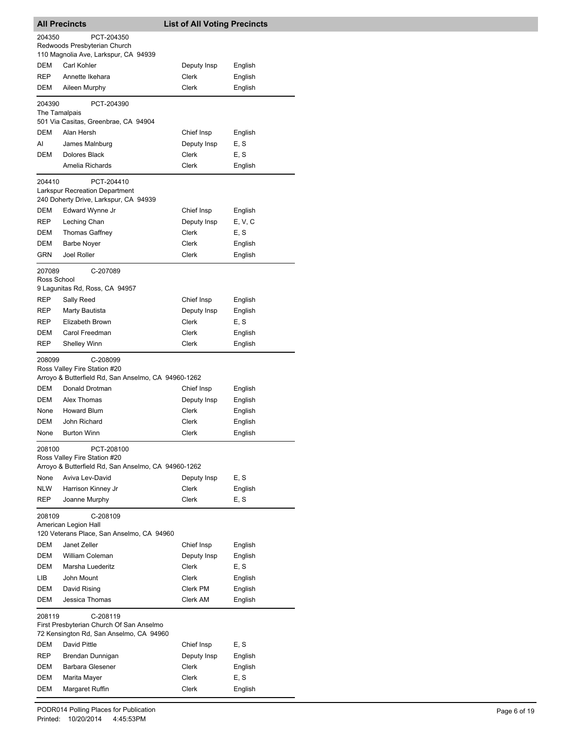|                         | <b>All Precincts</b>                                                                              | <b>List of All Voting Precincts</b> |              |
|-------------------------|---------------------------------------------------------------------------------------------------|-------------------------------------|--------------|
| 204350                  | PCT-204350                                                                                        |                                     |              |
|                         | Redwoods Presbyterian Church                                                                      |                                     |              |
| DEM                     | 110 Magnolia Ave, Larkspur, CA 94939<br>Carl Kohler                                               | Deputy Insp                         | English      |
| REP                     | Annette Ikehara                                                                                   | Clerk                               | English      |
| DEM                     | Aileen Murphy                                                                                     | Clerk                               | English      |
|                         |                                                                                                   |                                     |              |
| 204390<br>The Tamalpais | PCT-204390                                                                                        |                                     |              |
| DEM                     | 501 Via Casitas, Greenbrae, CA 94904<br>Alan Hersh                                                |                                     |              |
| AI                      |                                                                                                   | Chief Insp                          | English      |
| DEM                     | James Malnburg<br>Dolores Black                                                                   | Deputy Insp<br>Clerk                | E, S<br>E, S |
|                         | Amelia Richards                                                                                   | Clerk                               | English      |
|                         |                                                                                                   |                                     |              |
| 204410                  | PCT-204410<br><b>Larkspur Recreation Department</b><br>240 Doherty Drive, Larkspur, CA 94939      |                                     |              |
| DEM                     | Edward Wynne Jr                                                                                   | Chief Insp                          | English      |
| REP                     | Leching Chan                                                                                      | Deputy Insp                         | E, V, C      |
| DEM                     | <b>Thomas Gaffney</b>                                                                             | Clerk                               | E, S         |
| DEM                     | <b>Barbe Noyer</b>                                                                                | Clerk                               | English      |
| GRN                     | Joel Roller                                                                                       | Clerk                               | English      |
| 207089<br>Ross School   | C-207089                                                                                          |                                     |              |
|                         | 9 Lagunitas Rd, Ross, CA 94957                                                                    |                                     |              |
| REP                     | Sally Reed                                                                                        | Chief Insp                          | English      |
| REP                     | Marty Bautista                                                                                    | Deputy Insp                         | English      |
| REP                     | Elizabeth Brown                                                                                   | Clerk                               | E, S         |
| DEM                     | Carol Freedman                                                                                    | Clerk                               | English      |
| REP                     | <b>Shelley Winn</b>                                                                               | Clerk                               | English      |
| 208099                  | C-208099<br>Ross Valley Fire Station #20<br>Arroyo & Butterfield Rd, San Anselmo, CA 94960-1262   |                                     |              |
| <b>DEM</b>              | Donald Drotman                                                                                    | Chief Insp                          | English      |
| DEM                     | Alex Thomas                                                                                       | Deputy Insp                         | English      |
| None                    | <b>Howard Blum</b>                                                                                | Clerk                               | English      |
| DEM                     | John Richard                                                                                      | Clerk                               | English      |
| None                    | <b>Burton Winn</b>                                                                                | Clerk                               | English      |
| 208100                  | PCT-208100<br>Ross Valley Fire Station #20<br>Arroyo & Butterfield Rd, San Anselmo, CA 94960-1262 |                                     |              |
| None                    | Aviva Lev-David                                                                                   | Deputy Insp                         | E, S         |
| <b>NLW</b>              | Harrison Kinney Jr                                                                                | <b>Clerk</b>                        | English      |
| REP                     | Joanne Murphy                                                                                     | Clerk                               | E, S         |
| 208109                  | C-208109<br>American Legion Hall                                                                  |                                     |              |
|                         | 120 Veterans Place, San Anselmo, CA 94960                                                         |                                     |              |
| DEM                     | Janet Zeller                                                                                      | Chief Insp                          | English      |
| DEM                     | <b>William Coleman</b>                                                                            | Deputy Insp                         | English      |
| DEM                     | Marsha Luederitz                                                                                  | Clerk                               | E, S         |
| LIB                     | John Mount                                                                                        | Clerk                               | English      |
| DEM<br>DEM              | David Rising<br>Jessica Thomas                                                                    | Clerk PM<br>Clerk AM                | English      |
|                         |                                                                                                   |                                     | English      |
| 208119                  | C-208119<br>First Presbyterian Church Of San Anselmo<br>72 Kensington Rd, San Anselmo, CA 94960   |                                     |              |
| DEM                     | David Pittle                                                                                      | Chief Insp                          | E, S         |
| <b>REP</b>              | Brendan Dunnigan                                                                                  | Deputy Insp                         | English      |
| DEM                     | Barbara Glesener                                                                                  | Clerk                               | English      |
| DEM                     | Marita Mayer                                                                                      | Clerk                               | E, S         |
| DEM                     | Margaret Ruffin                                                                                   | Clerk                               | English      |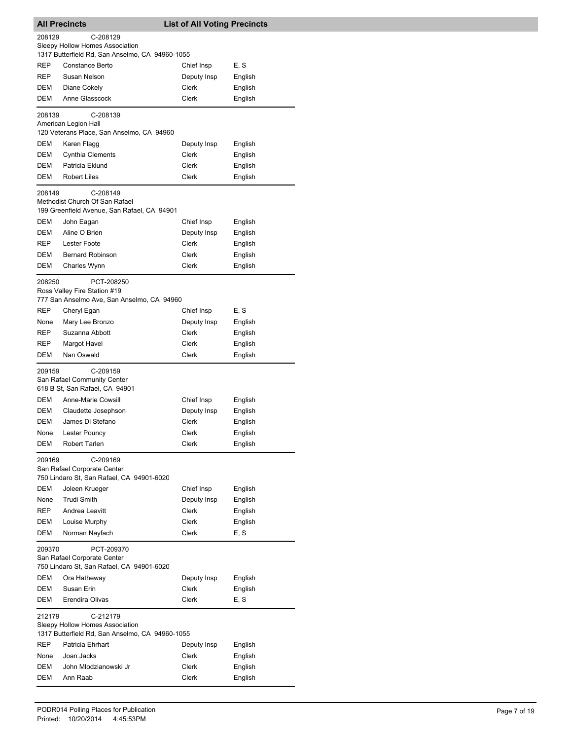| <b>All Precincts</b> |                                                                                                | <b>List of All Voting Precincts</b> |         |
|----------------------|------------------------------------------------------------------------------------------------|-------------------------------------|---------|
| 208129               | C-208129<br>Sleepy Hollow Homes Association                                                    |                                     |         |
|                      | 1317 Butterfield Rd, San Anselmo, CA 94960-1055                                                |                                     |         |
| REP                  | Constance Berto                                                                                | Chief Insp                          | E, S    |
| <b>REP</b>           | Susan Nelson                                                                                   | Deputy Insp                         | English |
| DEM                  | Diane Cokely                                                                                   | Clerk                               | English |
| DEM                  | Anne Glasscock                                                                                 | Clerk                               | English |
| 208139               | C-208139<br>American Legion Hall<br>120 Veterans Place, San Anselmo, CA 94960                  |                                     |         |
| DEM                  | Karen Flagg                                                                                    | Deputy Insp                         | English |
| DEM                  | Cynthia Clements                                                                               | Clerk                               | English |
| DEM                  | Patricia Eklund                                                                                | Clerk                               | English |
| <b>DEM</b>           | <b>Robert Liles</b>                                                                            | Clerk                               | English |
| 208149               | C-208149<br>Methodist Church Of San Rafael<br>199 Greenfield Avenue, San Rafael, CA 94901      |                                     |         |
| DEM                  | John Eagan                                                                                     | Chief Insp                          | English |
| DEM                  | Aline O Brien                                                                                  | Deputy Insp                         | English |
| REP                  | <b>Lester Foote</b>                                                                            | Clerk                               | English |
| DEM                  | <b>Bernard Robinson</b>                                                                        | Clerk                               | English |
| DEM                  | Charles Wynn                                                                                   | Clerk                               | English |
| 208250               | PCT-208250<br>Ross Valley Fire Station #19<br>777 San Anselmo Ave, San Anselmo, CA 94960       |                                     |         |
| REP                  | Cheryl Egan                                                                                    | Chief Insp                          | E, S    |
| None                 | Mary Lee Bronzo                                                                                | Deputy Insp                         | English |
| REP                  | Suzanna Abbott                                                                                 | Clerk                               | English |
| REP                  | Margot Havel                                                                                   | Clerk                               | English |
| DEM                  | Nan Oswald                                                                                     | Clerk                               | English |
| 209159               | C-209159<br>San Rafael Community Center<br>618 B St, San Rafael, CA 94901                      |                                     |         |
| DEM                  |                                                                                                |                                     |         |
| DEM                  | Anne-Marie Cowsill                                                                             | Chief Insp                          | English |
|                      | Claudette Josephson                                                                            | Deputy Insp<br>Clerk                | English |
| DEM                  | James Di Stefano                                                                               |                                     | English |
| None                 | Lester Pouncy                                                                                  | Clerk                               | English |
| DEM                  | Robert Tarlen                                                                                  | Clerk                               | English |
| 209169               | C-209169<br>San Rafael Corporate Center<br>750 Lindaro St, San Rafael, CA 94901-6020           |                                     |         |
| <b>DEM</b>           | Joleen Krueger                                                                                 | Chief Insp                          | English |
| None                 | <b>Trudi Smith</b>                                                                             | Deputy Insp                         | English |
| REP                  | Andrea Leavitt                                                                                 | Clerk                               | English |
| DEM                  | Louise Murphy                                                                                  | Clerk                               | English |
| DEM                  | Norman Nayfach                                                                                 | Clerk                               | E, S    |
| 209370               | PCT-209370<br>San Rafael Corporate Center<br>750 Lindaro St, San Rafael, CA 94901-6020         |                                     |         |
| DEM                  | Ora Hatheway                                                                                   | Deputy Insp                         | English |
| DEM                  | Susan Erin                                                                                     | Clerk                               | English |
| DEM                  | Erendira Olivas                                                                                | Clerk                               | E, S    |
| 212179               | C-212179<br>Sleepy Hollow Homes Association<br>1317 Butterfield Rd, San Anselmo, CA 94960-1055 |                                     |         |
| REP                  | Patricia Ehrhart                                                                               | Deputy Insp                         | English |
| None                 | Joan Jacks                                                                                     | Clerk                               | English |
| DEM                  | John Mlodzianowski Jr                                                                          | Clerk                               | English |
| DEM                  | Ann Raab                                                                                       | Clerk                               | English |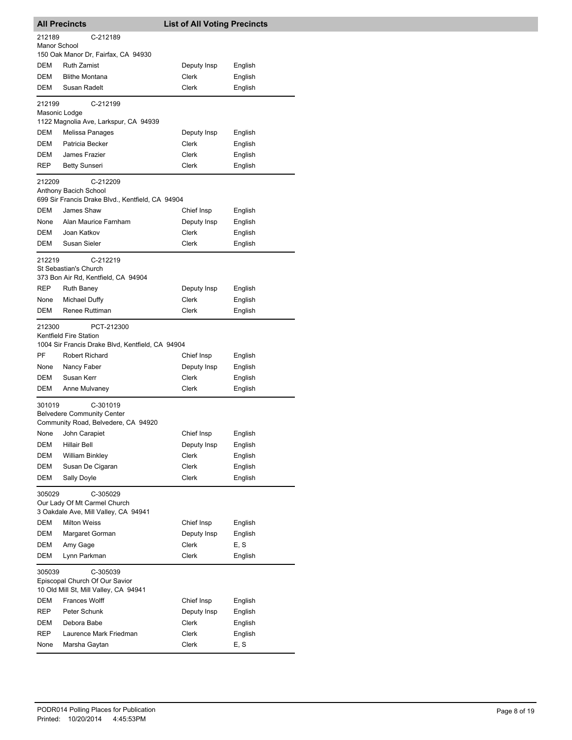| <b>All Precincts</b>    |                                                                                                             | <b>List of All Voting Precincts</b> |         |
|-------------------------|-------------------------------------------------------------------------------------------------------------|-------------------------------------|---------|
| 212189                  | C-212189                                                                                                    |                                     |         |
| Manor School            |                                                                                                             |                                     |         |
|                         | 150 Oak Manor Dr, Fairfax, CA 94930                                                                         |                                     |         |
| DEM                     | <b>Ruth Zamist</b>                                                                                          | Deputy Insp                         | English |
| DEM                     | <b>Blithe Montana</b>                                                                                       | Clerk                               | English |
| DEM                     | Susan Radelt                                                                                                | Clerk                               | English |
| 212199<br>Masonic Lodge | C-212199<br>1122 Magnolia Ave, Larkspur, CA 94939                                                           |                                     |         |
| DEM                     | Melissa Panages                                                                                             | Deputy Insp                         | English |
| DEM                     | Patricia Becker                                                                                             | <b>Clerk</b>                        | English |
| DEM                     | James Frazier                                                                                               | Clerk                               | English |
| <b>REP</b>              | <b>Betty Sunseri</b>                                                                                        | Clerk                               | English |
| 212209                  | C-212209<br>Anthony Bacich School<br>699 Sir Francis Drake Blvd., Kentfield, CA 94904                       |                                     |         |
| DEM                     | James Shaw                                                                                                  | Chief Insp                          | English |
| None                    | Alan Maurice Farnham                                                                                        | Deputy Insp                         | English |
| DEM                     | Joan Katkov                                                                                                 | Clerk                               | English |
| DEM                     | Susan Sieler                                                                                                | Clerk                               | English |
| 212219                  | C-212219<br>St Sebastian's Church<br>373 Bon Air Rd, Kentfield, CA 94904                                    |                                     |         |
| REP                     | <b>Ruth Baney</b>                                                                                           | Deputy Insp                         | English |
| None                    | Michael Duffy                                                                                               | Clerk                               | English |
| DEM                     | Renee Ruttiman                                                                                              | Clerk                               | English |
| 212300                  | PCT-212300<br>Kentfield Fire Station<br>1004 Sir Francis Drake Blvd, Kentfield, CA 94904                    |                                     |         |
| PF                      | Robert Richard                                                                                              | Chief Insp                          | English |
| None                    | Nancy Faber                                                                                                 | Deputy Insp                         | English |
| DEM                     | Susan Kerr                                                                                                  | Clerk                               | English |
| DEM                     | Anne Mulvaney                                                                                               | Clerk                               | English |
| 301019                  | C-301019<br><b>Belvedere Community Center</b><br>Community Road, Belvedere, CA 94920                        |                                     |         |
| None                    | John Carapiet                                                                                               | Chief Insp                          | English |
| DEM                     | Hillair Bell                                                                                                | Deputy Insp                         | English |
| DEM                     | <b>William Binkley</b>                                                                                      | Clerk                               | English |
| DEM                     | Susan De Cigaran                                                                                            | Clerk                               | English |
| DEM                     | Sally Doyle                                                                                                 | Clerk                               | English |
| 305029                  | C-305029<br>Our Lady Of Mt Carmel Church<br>3 Oakdale Ave, Mill Valley, CA 94941                            |                                     |         |
| DEM                     | <b>Milton Weiss</b>                                                                                         | Chief Insp                          | English |
| DEM                     | Margaret Gorman                                                                                             | Deputy Insp                         | English |
| DEM                     | Amy Gage                                                                                                    | Clerk                               | E, S    |
| DEM                     | Lynn Parkman                                                                                                | Clerk                               | English |
| 305039<br>DEM           | C-305039<br>Episcopal Church Of Our Savior<br>10 Old Mill St, Mill Valley, CA 94941<br><b>Frances Wolff</b> | Chief Insp                          | English |
| REP                     | Peter Schunk                                                                                                | Deputy Insp                         | English |
| DEM                     | Debora Babe                                                                                                 | Clerk                               | English |
| REP                     | Laurence Mark Friedman                                                                                      | Clerk                               | English |
| None                    | Marsha Gaytan                                                                                               | Clerk                               | E, S    |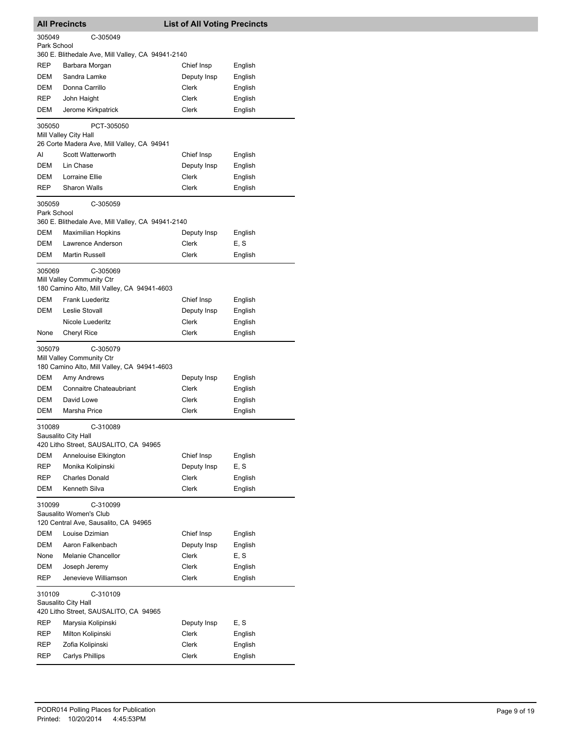|                       | <b>All Precincts</b>                                                                 | <b>List of All Voting Precincts</b> |         |
|-----------------------|--------------------------------------------------------------------------------------|-------------------------------------|---------|
| 305049<br>Park School | C-305049                                                                             |                                     |         |
|                       | 360 E. Blithedale Ave, Mill Valley, CA 94941-2140                                    |                                     |         |
| REP                   | Barbara Morgan                                                                       | Chief Insp                          | English |
| <b>DEM</b>            | Sandra Lamke                                                                         | Deputy Insp                         | English |
| DEM                   | Donna Carrillo                                                                       | Clerk                               | English |
| REP                   | John Haight                                                                          | Clerk                               | English |
| DEM                   | Jerome Kirkpatrick                                                                   | Clerk                               | English |
| 305050                | PCT-305050<br>Mill Valley City Hall<br>26 Corte Madera Ave, Mill Valley, CA 94941    |                                     |         |
| AI                    | Scott Watterworth                                                                    | Chief Insp                          | English |
| <b>DEM</b>            | Lin Chase                                                                            | Deputy Insp                         | English |
| DEM                   | Lorraine Ellie                                                                       | Clerk                               | English |
| REP                   | <b>Sharon Walls</b>                                                                  | Clerk                               | English |
| 305059<br>Park School | C-305059<br>360 E. Blithedale Ave, Mill Valley, CA 94941-2140                        |                                     |         |
| DEM                   | <b>Maximilian Hopkins</b>                                                            | Deputy Insp                         | English |
| DEM                   | Lawrence Anderson                                                                    | Clerk                               | E, S    |
| DEM                   | Martin Russell                                                                       | Clerk                               | English |
| 305069                | C-305069<br>Mill Valley Community Ctr<br>180 Camino Alto, Mill Valley, CA 94941-4603 |                                     |         |
| DEM                   | <b>Frank Luederitz</b>                                                               | Chief Insp                          | English |
| DEM                   | Leslie Stovall                                                                       | Deputy Insp                         | English |
|                       | Nicole Luederitz                                                                     | Clerk                               | English |
| None                  | Cheryl Rice                                                                          | Clerk                               | English |
| 305079                | C-305079<br>Mill Valley Community Ctr<br>180 Camino Alto, Mill Valley, CA 94941-4603 |                                     |         |
| DEM                   | Amy Andrews                                                                          | Deputy Insp                         | English |
| DEM                   | <b>Connaitre Chateaubriant</b>                                                       | Clerk                               | English |
| DEM                   | David Lowe                                                                           | Clerk                               | English |
| DEM                   | Marsha Price                                                                         | Clerk                               | English |
| 310089                | C-310089<br>Sausalito City Hall<br>420 Litho Street, SAUSALITO, CA 94965             |                                     |         |
| DEM                   | Annelouise Elkington                                                                 | Chief Insp                          | English |
| REP                   | Monika Kolipinski                                                                    | Deputy Insp                         | E, S    |
| REP                   | <b>Charles Donald</b>                                                                | Clerk                               | English |
| DEM                   | Kenneth Silva                                                                        | Clerk                               | English |
| 310099                | C-310099<br>Sausalito Women's Club<br>120 Central Ave, Sausalito, CA 94965           |                                     |         |
| DEM                   | Louise Dzimian                                                                       | Chief Insp                          | English |
| DEM                   | Aaron Falkenbach                                                                     | Deputy Insp                         | English |
| None                  | Melanie Chancellor                                                                   | Clerk                               | E, S    |
| DEM                   | Joseph Jeremy                                                                        | Clerk                               | English |
| REP                   | Jenevieve Williamson                                                                 | Clerk                               | English |
| 310109                | C-310109<br>Sausalito City Hall<br>420 Litho Street, SAUSALITO, CA 94965             |                                     |         |
| REP                   | Marysia Kolipinski                                                                   | Deputy Insp                         | E, S    |
| REP                   | Milton Kolipinski                                                                    | Clerk                               | English |
| REP                   | Zofia Kolipinski                                                                     | Clerk                               | English |
| REP                   | <b>Carlys Phillips</b>                                                               | Clerk                               | English |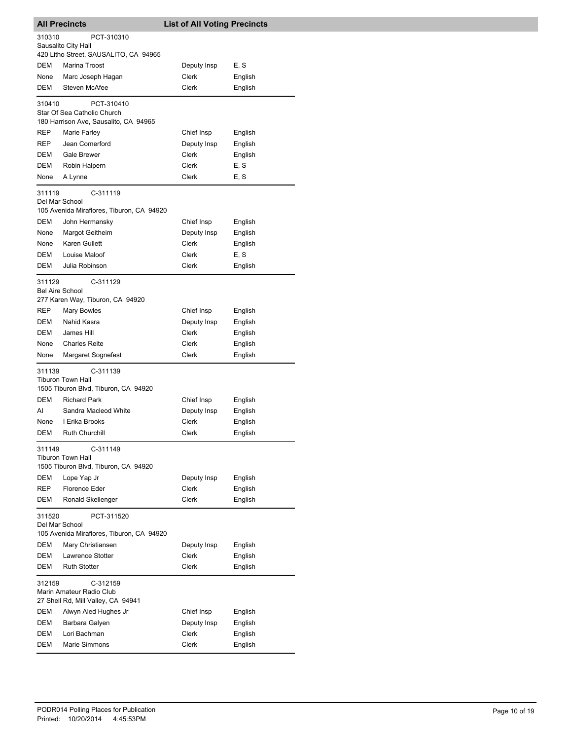| <b>All Precincts</b>             |                                                                                    | <b>List of All Voting Precincts</b> |                    |
|----------------------------------|------------------------------------------------------------------------------------|-------------------------------------|--------------------|
| 310310                           | PCT-310310                                                                         |                                     |                    |
|                                  | Sausalito City Hall                                                                |                                     |                    |
| DEM                              | 420 Litho Street, SAUSALITO, CA 94965                                              |                                     |                    |
| None                             | Marina Troost                                                                      | Deputy Insp<br>Clerk                | E, S               |
| DEM                              | Marc Joseph Hagan<br><b>Steven McAfee</b>                                          | Clerk                               | English<br>English |
|                                  |                                                                                    |                                     |                    |
| 310410                           | PCT-310410<br>Star Of Sea Catholic Church<br>180 Harrison Ave, Sausalito, CA 94965 |                                     |                    |
| REP                              | Marie Farley                                                                       | Chief Insp                          | English            |
| REP                              | Jean Comerford                                                                     | Deputy Insp                         | English            |
| DEM                              | Gale Brewer                                                                        | Clerk                               | English            |
| DEM                              | Robin Halpern                                                                      | Clerk                               | E, S               |
| None                             | A Lynne                                                                            | Clerk                               | E, S               |
| 311119                           | C-311119                                                                           |                                     |                    |
| Del Mar School                   |                                                                                    |                                     |                    |
|                                  | 105 Avenida Miraflores, Tiburon, CA 94920                                          |                                     |                    |
| DEM                              | John Hermansky                                                                     | Chief Insp                          | English            |
| None                             | Margot Geitheim                                                                    | Deputy Insp                         | English            |
| None                             | Karen Gullett                                                                      | Clerk                               | English            |
| DEM                              | Louise Maloof                                                                      | Clerk                               | E, S               |
| DEM                              | Julia Robinson                                                                     | Clerk                               | English            |
| 311129<br><b>Bel Aire School</b> | C-311129                                                                           |                                     |                    |
| REP                              | 277 Karen Way, Tiburon, CA 94920                                                   |                                     |                    |
| DEM                              | <b>Mary Bowles</b><br>Nahid Kasra                                                  | Chief Insp                          | English            |
| DEM                              | James Hill                                                                         | Deputy Insp<br>Clerk                | English<br>English |
| None                             | <b>Charles Reite</b>                                                               | Clerk                               | English            |
| None                             | Margaret Sognefest                                                                 | Clerk                               | English            |
| 311139                           | C-311139<br><b>Tiburon Town Hall</b><br>1505 Tiburon Blvd, Tiburon, CA 94920       |                                     |                    |
| DEM                              | <b>Richard Park</b>                                                                | Chief Insp                          | English            |
| AI                               | Sandra Macleod White                                                               | Deputy Insp                         | English            |
| None                             | I Erika Brooks                                                                     | Clerk                               | English            |
| DEM                              | <b>Ruth Churchill</b>                                                              | Clerk                               | English            |
| 311149                           | C-311149<br><b>Tiburon Town Hall</b><br>1505 Tiburon Blvd, Tiburon, CA 94920       |                                     |                    |
| DEM                              | Lope Yap Jr                                                                        | Deputy Insp                         | English            |
| REP                              | <b>Florence Eder</b>                                                               | Clerk                               | English            |
| DEM                              | Ronald Skellenger                                                                  | Clerk                               | English            |
| 311520<br>Del Mar School         | PCT-311520<br>105 Avenida Miraflores, Tiburon, CA 94920                            |                                     |                    |
| DEM                              | Mary Christiansen                                                                  | Deputy Insp                         | English            |
| DEM                              | Lawrence Stotter                                                                   | Clerk                               | English            |
| DEM                              | <b>Ruth Stotter</b>                                                                | Clerk                               | English            |
| 312159                           | C-312159<br>Marin Amateur Radio Club<br>27 Shell Rd, Mill Valley, CA 94941         |                                     |                    |
| DEM                              | Alwyn Aled Hughes Jr                                                               | Chief Insp                          | English            |
| DEM                              | Barbara Galyen                                                                     | Deputy Insp                         | English            |
| DEM                              | Lori Bachman                                                                       | Clerk                               | English            |
| DEM                              | <b>Marie Simmons</b>                                                               | Clerk                               | English            |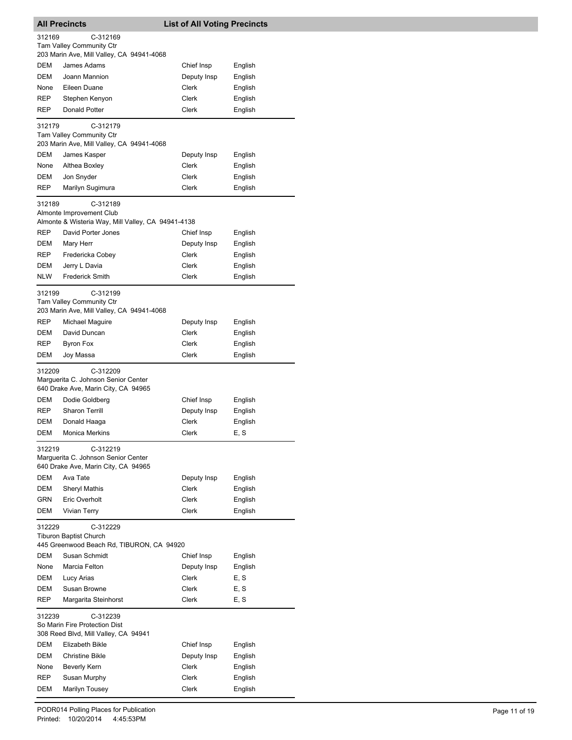|            | <b>All Precincts</b>                                                                   | <b>List of All Voting Precincts</b> |         |
|------------|----------------------------------------------------------------------------------------|-------------------------------------|---------|
| 312169     | C-312169                                                                               |                                     |         |
|            | <b>Tam Valley Community Ctr</b>                                                        |                                     |         |
|            | 203 Marin Ave, Mill Valley, CA 94941-4068                                              |                                     |         |
| DEM        | James Adams                                                                            | Chief Insp                          | English |
| DEM        | Joann Mannion                                                                          | Deputy Insp                         | English |
| None       | Eileen Duane                                                                           | Clerk                               | English |
| <b>REP</b> | Stephen Kenyon                                                                         | Clerk                               | English |
| <b>REP</b> | Donald Potter                                                                          | Clerk                               | English |
| 312179     | C-312179                                                                               |                                     |         |
|            | <b>Tam Valley Community Ctr</b><br>203 Marin Ave, Mill Valley, CA 94941-4068           |                                     |         |
| DEM        | James Kasper                                                                           | Deputy Insp                         | English |
| None       | Althea Boxley                                                                          | Clerk                               | English |
| DEM        | Jon Snyder                                                                             | Clerk                               | English |
| REP        | Marilyn Sugimura                                                                       | Clerk                               | English |
|            |                                                                                        |                                     |         |
| 312189     | C-312189<br>Almonte Improvement Club                                                   |                                     |         |
|            | Almonte & Wisteria Way, Mill Valley, CA 94941-4138                                     |                                     |         |
| <b>REP</b> | David Porter Jones                                                                     | Chief Insp                          | English |
| DEM        | Mary Herr                                                                              | Deputy Insp                         | English |
| REP        | Fredericka Cobey                                                                       | Clerk                               | English |
| DEM        | Jerry L Davia                                                                          | Clerk                               | English |
| <b>NLW</b> | <b>Frederick Smith</b>                                                                 | Clerk                               | English |
|            |                                                                                        |                                     |         |
| 312199     | C-312199<br><b>Tam Valley Community Ctr</b>                                            |                                     |         |
|            | 203 Marin Ave, Mill Valley, CA 94941-4068                                              |                                     |         |
| REP        | Michael Maguire                                                                        | Deputy Insp                         | English |
| DEM        | David Duncan                                                                           | Clerk                               | English |
| REP        | Byron Fox                                                                              | Clerk                               | English |
| DEM        | Joy Massa                                                                              | Clerk                               | English |
| 312209     | C-312209<br>Marguerita C. Johnson Senior Center<br>640 Drake Ave, Marin City, CA 94965 |                                     |         |
| DEM        | Dodie Goldberg                                                                         | Chief Insp                          | English |
| REP        | <b>Sharon Terrill</b>                                                                  | Deputy Insp                         | English |
| DEM        | Donald Haaga                                                                           | Clerk                               | English |
| DEM        | <b>Monica Merkins</b>                                                                  | Clerk                               | E, S    |
| 312219     | C-312219<br>Marguerita C. Johnson Senior Center                                        |                                     |         |
|            | 640 Drake Ave, Marin City, CA 94965                                                    |                                     |         |
| DEM        | Ava Tate                                                                               | Deputy Insp                         | English |
| DEM        | <b>Sheryl Mathis</b>                                                                   | Clerk                               | English |
| GRN        | Eric Overholt                                                                          | Clerk                               | English |
| DEM        | <b>Vivian Terry</b>                                                                    | Clerk                               | English |
| 312229     | C-312229<br><b>Tiburon Baptist Church</b><br>445 Greenwood Beach Rd, TIBURON, CA 94920 |                                     |         |
| DEM        | Susan Schmidt                                                                          | Chief Insp                          | English |
| None       | Marcia Felton                                                                          | Deputy Insp                         | English |
| DEM        | Lucy Arias                                                                             | Clerk                               | E, S    |
| DEM        | Susan Browne                                                                           | Clerk                               | E, S    |
| REP        | Margarita Steinhorst                                                                   | Clerk                               | E, S    |
| 312239     | C-312239<br>So Marin Fire Protection Dist<br>308 Reed Blvd, Mill Valley, CA 94941      |                                     |         |
| DEM        | Elizabeth Bikle                                                                        | Chief Insp                          | English |
| <b>DEM</b> | <b>Christine Bikle</b>                                                                 | Deputy Insp                         | English |
| None       | <b>Beverly Kern</b>                                                                    | Clerk                               | English |
| REP        | Susan Murphy                                                                           | Clerk                               | English |
| DEM        | <b>Marilyn Tousey</b>                                                                  | Clerk                               | English |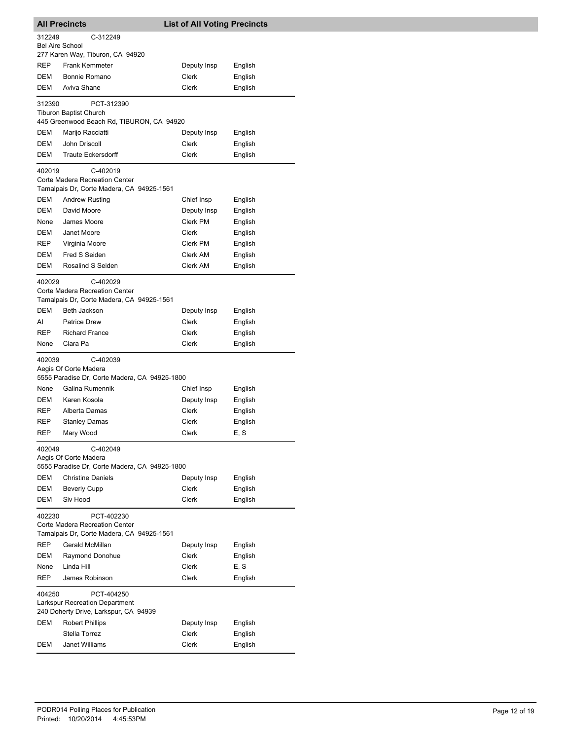| <b>All Precincts</b> |                                                                                              | <b>List of All Voting Precincts</b> |                    |  |  |
|----------------------|----------------------------------------------------------------------------------------------|-------------------------------------|--------------------|--|--|
| 312249               | C-312249                                                                                     |                                     |                    |  |  |
| Bel Aire School      |                                                                                              |                                     |                    |  |  |
|                      | 277 Karen Way, Tiburon, CA 94920                                                             |                                     |                    |  |  |
| REP<br>DEM           | <b>Frank Kemmeter</b><br>Bonnie Romano                                                       | Deputy Insp                         | English            |  |  |
| DEM                  | Aviva Shane                                                                                  | Clerk<br>Clerk                      | English<br>English |  |  |
|                      |                                                                                              |                                     |                    |  |  |
| 312390               | PCT-312390<br>Tiburon Baptist Church<br>445 Greenwood Beach Rd, TIBURON, CA 94920            |                                     |                    |  |  |
| DEM                  | Marijo Racciatti                                                                             | Deputy Insp                         | English            |  |  |
| DEM                  | John Driscoll                                                                                | Clerk                               | English            |  |  |
| DEM                  | <b>Traute Eckersdorff</b>                                                                    | Clerk                               | English            |  |  |
|                      |                                                                                              |                                     |                    |  |  |
| 402019               | C-402019<br>Corte Madera Recreation Center<br>Tamalpais Dr, Corte Madera, CA 94925-1561      |                                     |                    |  |  |
| <b>DEM</b>           | <b>Andrew Rusting</b>                                                                        | Chief Insp                          | English            |  |  |
| <b>DEM</b>           | David Moore                                                                                  | Deputy Insp                         | English            |  |  |
| None                 | James Moore                                                                                  | Clerk PM                            | English            |  |  |
| DEM                  | Janet Moore                                                                                  | Clerk                               | English            |  |  |
| REP                  | Virginia Moore                                                                               | Clerk PM                            | English            |  |  |
| DEM                  | Fred S Seiden                                                                                | Clerk AM                            | English            |  |  |
| DEM                  | Rosalind S Seiden                                                                            | Clerk AM                            | English            |  |  |
| 402029               | C-402029<br>Corte Madera Recreation Center<br>Tamalpais Dr, Corte Madera, CA 94925-1561      |                                     |                    |  |  |
| DEM                  | Beth Jackson                                                                                 | Deputy Insp                         | English            |  |  |
| AI                   | <b>Patrice Drew</b>                                                                          | Clerk                               | English            |  |  |
| <b>REP</b>           | <b>Richard France</b>                                                                        | Clerk                               | English            |  |  |
| None                 | Clara Pa                                                                                     | <b>Clerk</b>                        | English            |  |  |
| 402039               | C-402039<br>Aegis Of Corte Madera<br>5555 Paradise Dr, Corte Madera, CA 94925-1800           |                                     |                    |  |  |
| None                 | Galina Rumennik                                                                              | Chief Insp                          | English            |  |  |
| DEM                  | Karen Kosola                                                                                 | Deputy Insp                         | English            |  |  |
| REP                  | Alberta Damas                                                                                | Clerk                               | English            |  |  |
| REP                  | <b>Stanley Damas</b>                                                                         | Clerk                               | English            |  |  |
| REP                  | Mary Wood                                                                                    | Clerk                               | E, S               |  |  |
| 402049               | C-402049<br>Aegis Of Corte Madera<br>5555 Paradise Dr, Corte Madera, CA 94925-1800           |                                     |                    |  |  |
| DEM                  | <b>Christine Daniels</b>                                                                     | Deputy Insp                         | English            |  |  |
| DEM                  | <b>Beverly Cupp</b>                                                                          | Clerk                               | English            |  |  |
| DEM                  | Siv Hood                                                                                     | Clerk                               | English            |  |  |
| 402230               | PCT-402230<br>Corte Madera Recreation Center<br>Tamalpais Dr, Corte Madera, CA 94925-1561    |                                     |                    |  |  |
| REP                  | Gerald McMillan                                                                              | Deputy Insp                         | English            |  |  |
| DEM                  | Raymond Donohue                                                                              | Clerk                               | English            |  |  |
| None                 | Linda Hill                                                                                   | Clerk                               | E, S               |  |  |
| REP                  | James Robinson                                                                               | Clerk                               | English            |  |  |
| 404250               | PCT-404250<br><b>Larkspur Recreation Department</b><br>240 Doherty Drive, Larkspur, CA 94939 |                                     |                    |  |  |
| DEM                  | <b>Robert Phillips</b>                                                                       | Deputy Insp                         | English            |  |  |
|                      | Stella Torrez                                                                                | Clerk                               | English            |  |  |
| DEM                  | Janet Williams                                                                               | Clerk                               | English            |  |  |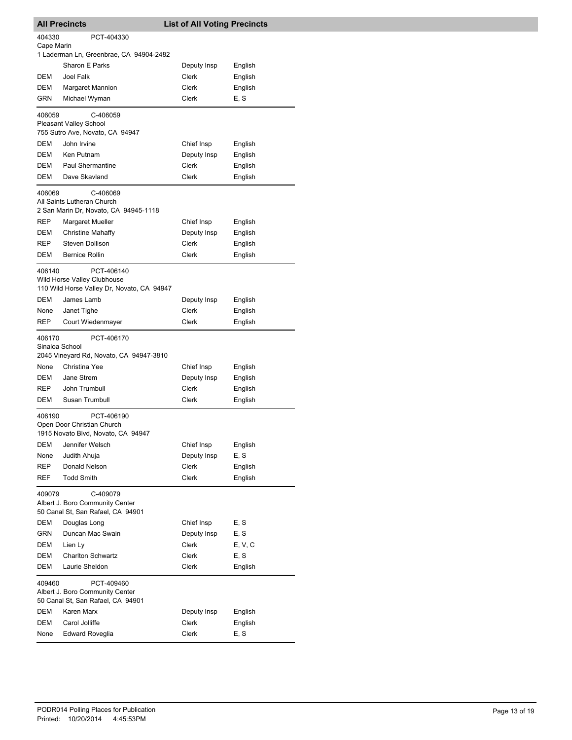| <b>All Precincts</b>                                                                              |                                                                                 | <b>List of All Voting Precincts</b> |         |  |  |
|---------------------------------------------------------------------------------------------------|---------------------------------------------------------------------------------|-------------------------------------|---------|--|--|
| 404330                                                                                            | PCT-404330                                                                      |                                     |         |  |  |
| Cape Marin                                                                                        |                                                                                 |                                     |         |  |  |
|                                                                                                   | 1 Laderman Ln, Greenbrae, CA 94904-2482                                         |                                     |         |  |  |
|                                                                                                   | Sharon E Parks                                                                  | Deputy Insp                         | English |  |  |
| DEM<br>DEM                                                                                        | <b>Joel Falk</b>                                                                | Clerk<br>Clerk                      | English |  |  |
|                                                                                                   | <b>Margaret Mannion</b>                                                         |                                     | English |  |  |
| GRN                                                                                               | Michael Wyman                                                                   | Clerk                               | E, S    |  |  |
| 406059                                                                                            | C-406059<br><b>Pleasant Valley School</b><br>755 Sutro Ave, Novato, CA 94947    |                                     |         |  |  |
| <b>DEM</b>                                                                                        | John Irvine                                                                     | Chief Insp                          | English |  |  |
| DEM                                                                                               | Ken Putnam                                                                      | Deputy Insp                         | English |  |  |
| DEM                                                                                               | Paul Shermantine                                                                | Clerk                               | English |  |  |
| DEM                                                                                               | Dave Skavland                                                                   | Clerk                               | English |  |  |
| 406069                                                                                            | C-406069<br>All Saints Lutheran Church<br>2 San Marin Dr, Novato, CA 94945-1118 |                                     |         |  |  |
| REP                                                                                               | Margaret Mueller                                                                | Chief Insp                          | English |  |  |
| DEM                                                                                               | <b>Christine Mahaffy</b>                                                        | Deputy Insp                         | English |  |  |
| <b>REP</b>                                                                                        | Steven Dollison                                                                 | Clerk                               | English |  |  |
| DEM                                                                                               | <b>Bernice Rollin</b>                                                           | Clerk                               | English |  |  |
| PCT-406140<br>406140<br>Wild Horse Valley Clubhouse<br>110 Wild Horse Valley Dr, Novato, CA 94947 |                                                                                 |                                     |         |  |  |
| <b>DEM</b>                                                                                        | James Lamb                                                                      | Deputy Insp                         | English |  |  |
| None                                                                                              | Janet Tighe                                                                     | Clerk                               | English |  |  |
| REP                                                                                               | Court Wiedenmayer                                                               | Clerk                               | English |  |  |
| 406170<br>Sinaloa School                                                                          | PCT-406170<br>2045 Vineyard Rd, Novato, CA 94947-3810                           |                                     |         |  |  |
| None                                                                                              | Christina Yee                                                                   | Chief Insp                          | English |  |  |
| DEM                                                                                               | Jane Strem                                                                      | Deputy Insp                         | English |  |  |
| REP                                                                                               | John Trumbull                                                                   | <b>Clerk</b>                        | English |  |  |
| DEM                                                                                               | Susan Trumbull                                                                  | Clerk                               | English |  |  |
| PCT-406190<br>406190<br>Open Door Christian Church<br>1915 Novato Blvd, Novato, CA 94947          |                                                                                 |                                     |         |  |  |
| DEM                                                                                               | Jennifer Welsch                                                                 | Chief Insp                          | English |  |  |
| None                                                                                              | Judith Ahuja                                                                    | Deputy Insp                         | E, S    |  |  |
| REP                                                                                               | Donald Nelson                                                                   | Clerk                               | English |  |  |
| REF                                                                                               | <b>Todd Smith</b>                                                               | Clerk                               | English |  |  |
| C-409079<br>409079<br>Albert J. Boro Community Center<br>50 Canal St, San Rafael, CA 94901        |                                                                                 |                                     |         |  |  |
| DEM                                                                                               | Douglas Long                                                                    | Chief Insp                          | E, S    |  |  |
| <b>GRN</b>                                                                                        | Duncan Mac Swain                                                                | Deputy Insp                         | E, S    |  |  |
| DEM                                                                                               | Lien Ly                                                                         | Clerk                               | E, V, C |  |  |
| DEM                                                                                               | <b>Charlton Schwartz</b>                                                        | Clerk                               | E, S    |  |  |
| DEM                                                                                               | Laurie Sheldon                                                                  | Clerk                               | English |  |  |
| 409460<br>PCT-409460<br>Albert J. Boro Community Center<br>50 Canal St, San Rafael, CA 94901      |                                                                                 |                                     |         |  |  |
| DEM                                                                                               | Karen Marx                                                                      | Deputy Insp                         | English |  |  |
| DEM                                                                                               | Carol Jolliffe                                                                  | Clerk                               | English |  |  |
| None                                                                                              | <b>Edward Roveglia</b>                                                          | Clerk                               | E, S    |  |  |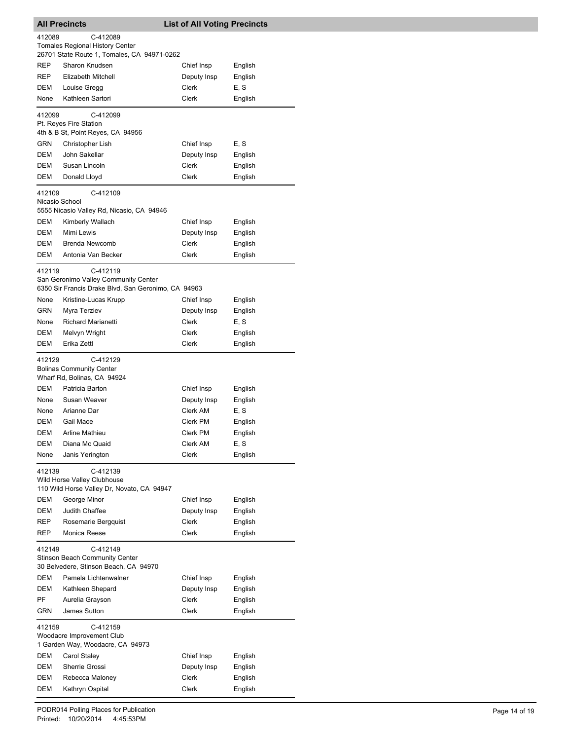| <b>All Precincts</b>     |                                                                                            | <b>List of All Voting Precincts</b> |         |
|--------------------------|--------------------------------------------------------------------------------------------|-------------------------------------|---------|
| 412089                   | C-412089                                                                                   |                                     |         |
|                          | <b>Tomales Regional History Center</b>                                                     |                                     |         |
|                          | 26701 State Route 1, Tomales, CA 94971-0262                                                |                                     |         |
| REP                      | Sharon Knudsen                                                                             | Chief Insp                          | English |
| REP                      | <b>Elizabeth Mitchell</b>                                                                  | Deputy Insp                         | English |
| DEM                      | Louise Gregg                                                                               | Clerk                               | E, S    |
| None                     | Kathleen Sartori                                                                           | Clerk                               | English |
| 412099                   | C-412099<br>Pt. Reyes Fire Station<br>4th & B St, Point Reyes, CA 94956                    |                                     |         |
| GRN                      | Christopher Lish                                                                           | Chief Insp                          | E, S    |
| DEM                      | John Sakellar                                                                              | Deputy Insp                         | English |
| DEM                      | Susan Lincoln                                                                              | Clerk                               | English |
| DEM                      | Donald Lloyd                                                                               | Clerk                               | English |
| 412109<br>Nicasio School | C-412109<br>5555 Nicasio Valley Rd, Nicasio, CA 94946                                      |                                     |         |
| DEM                      | Kimberly Wallach                                                                           | Chief Insp                          | English |
| DEM                      | Mimi Lewis                                                                                 | Deputy Insp                         | English |
| DEM                      | <b>Brenda Newcomb</b>                                                                      | Clerk                               | English |
| DEM                      | Antonia Van Becker                                                                         | <b>Clerk</b>                        | English |
| 412119                   | C-412119<br>San Geronimo Valley Community Center                                           |                                     |         |
|                          | 6350 Sir Francis Drake Blvd, San Geronimo, CA 94963                                        |                                     |         |
| None                     | Kristine-Lucas Krupp                                                                       | Chief Insp                          | English |
| GRN                      | Myra Terziev                                                                               | Deputy Insp                         | English |
| None                     | <b>Richard Marianetti</b>                                                                  | Clerk                               | E, S    |
| <b>DEM</b>               | Melvyn Wright                                                                              | Clerk                               | English |
| DEM                      | Erika Zettl                                                                                | Clerk                               | English |
| 412129                   | C-412129<br><b>Bolinas Community Center</b><br>Wharf Rd, Bolinas, CA 94924                 |                                     |         |
| DEM                      | Patricia Barton                                                                            | Chief Insp                          | English |
| None                     | Susan Weaver                                                                               | Deputy Insp                         | English |
| None                     | Arianne Dar                                                                                | Clerk AM                            | E, S    |
| DEM                      | Gail Mace                                                                                  | Clerk PM                            | English |
| DEM                      | <b>Arline Mathieu</b>                                                                      | Clerk PM                            | English |
| DEM                      | Diana Mc Quaid                                                                             | Clerk AM                            | E, S    |
| None                     | Janis Yerington                                                                            | Clerk                               | English |
| 412139                   | C-412139<br>Wild Horse Valley Clubhouse<br>110 Wild Horse Valley Dr, Novato, CA 94947      |                                     |         |
| DEM                      | George Minor                                                                               | Chief Insp                          | English |
| DEM                      | Judith Chaffee                                                                             | Deputy Insp                         | English |
| REP                      | Rosemarie Bergquist                                                                        | Clerk                               | English |
| REP                      | Monica Reese                                                                               | Clerk                               | English |
| 412149                   | C-412149<br><b>Stinson Beach Community Center</b><br>30 Belvedere, Stinson Beach, CA 94970 |                                     |         |
| <b>DEM</b>               | Pamela Lichtenwalner                                                                       | Chief Insp                          | English |
| DEM                      | Kathleen Shepard                                                                           | Deputy Insp                         | English |
| PF                       | Aurelia Grayson                                                                            | Clerk                               | English |
| GRN                      | James Sutton                                                                               | Clerk                               | English |
| 412159                   | C-412159<br>Woodacre Improvement Club<br>1 Garden Way, Woodacre, CA 94973                  |                                     |         |
| DEM                      | Carol Staley                                                                               | Chief Insp                          | English |
| DEM                      | Sherrie Grossi                                                                             | Deputy Insp                         | English |
| DEM                      | Rebecca Maloney                                                                            | Clerk                               | English |
| DEM                      | Kathryn Ospital                                                                            | Clerk                               | English |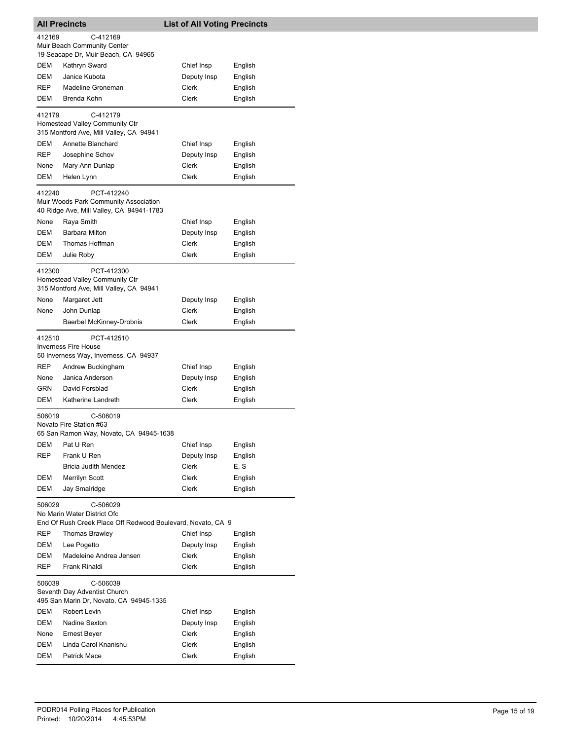| <b>All Precincts</b>                                                                                             |                                                                                                                                              | <b>List of All Voting Precincts</b> |                               |  |
|------------------------------------------------------------------------------------------------------------------|----------------------------------------------------------------------------------------------------------------------------------------------|-------------------------------------|-------------------------------|--|
| 412169                                                                                                           | C-412169<br>Muir Beach Community Center                                                                                                      |                                     |                               |  |
| DEM                                                                                                              | 19 Seacape Dr, Muir Beach, CA 94965<br>Kathryn Sward                                                                                         | Chief Insp                          | English                       |  |
| <b>DEM</b>                                                                                                       | Janice Kubota                                                                                                                                | Deputy Insp                         | English                       |  |
| <b>REP</b>                                                                                                       | Madeline Groneman                                                                                                                            | Clerk                               | English                       |  |
| DEM                                                                                                              | Brenda Kohn                                                                                                                                  | Clerk                               | English                       |  |
|                                                                                                                  |                                                                                                                                              |                                     |                               |  |
| 412179                                                                                                           | C-412179<br>Homestead Valley Community Ctr<br>315 Montford Ave, Mill Valley, CA 94941                                                        |                                     |                               |  |
| DEM                                                                                                              | Annette Blanchard                                                                                                                            | Chief Insp                          | English                       |  |
| REP                                                                                                              | Josephine Schov                                                                                                                              | Deputy Insp                         | English                       |  |
| None                                                                                                             | Mary Ann Dunlap                                                                                                                              | Clerk                               | English                       |  |
| DEM                                                                                                              | Helen Lynn                                                                                                                                   | Clerk                               | English                       |  |
| 412240                                                                                                           | PCT-412240<br>Muir Woods Park Community Association                                                                                          |                                     |                               |  |
|                                                                                                                  | 40 Ridge Ave, Mill Valley, CA 94941-1783                                                                                                     |                                     |                               |  |
| None                                                                                                             | Raya Smith                                                                                                                                   | Chief Insp                          | English                       |  |
| DEM                                                                                                              | <b>Barbara Milton</b>                                                                                                                        | Deputy Insp                         | English                       |  |
| DEM                                                                                                              | Thomas Hoffman                                                                                                                               | Clerk                               | English                       |  |
| DEM                                                                                                              | Julie Roby                                                                                                                                   | Clerk                               | English                       |  |
| 412300<br>PCT-412300<br>Homestead Valley Community Ctr<br>315 Montford Ave, Mill Valley, CA 94941                |                                                                                                                                              |                                     |                               |  |
| None                                                                                                             | Margaret Jett                                                                                                                                | Deputy Insp                         | English                       |  |
| None                                                                                                             | John Dunlap                                                                                                                                  | Clerk                               | English                       |  |
|                                                                                                                  | Baerbel McKinney-Drobnis                                                                                                                     | Clerk                               | English                       |  |
| 412510<br>REP<br>None<br>GRN                                                                                     | PCT-412510<br><b>Inverness Fire House</b><br>50 Inverness Way, Inverness, CA 94937<br>Andrew Buckingham<br>Janica Anderson<br>David Forsblad | Chief Insp<br>Deputy Insp<br>Clerk  | English<br>English<br>English |  |
| DEM                                                                                                              | Katherine Landreth                                                                                                                           | Clerk                               | English                       |  |
| C-506019<br>506019<br>Novato Fire Station #63<br>65 San Ramon Way, Novato, CA 94945-1638                         |                                                                                                                                              |                                     |                               |  |
| DEM                                                                                                              | Pat U Ren                                                                                                                                    | Chief Insp                          | English                       |  |
| REP                                                                                                              | Frank U Ren                                                                                                                                  | Deputy Insp                         | English                       |  |
|                                                                                                                  | <b>Bricia Judith Mendez</b>                                                                                                                  | Clerk<br><b>Clerk</b>               | E, S                          |  |
| DEM<br>DEM                                                                                                       | Merrilyn Scott<br>Jay Smalridge                                                                                                              | Clerk                               | English<br>English            |  |
| C-506029<br>506029<br>No Marin Water District Ofc<br>End Of Rush Creek Place Off Redwood Boulevard, Novato, CA 9 |                                                                                                                                              |                                     |                               |  |
| REP                                                                                                              | Thomas Brawley                                                                                                                               | Chief Insp                          | English                       |  |
| DEM                                                                                                              | Lee Pogetto                                                                                                                                  | Deputy Insp                         | English                       |  |
| DEM                                                                                                              | Madeleine Andrea Jensen                                                                                                                      | Clerk                               | English                       |  |
| REP                                                                                                              | Frank Rinaldi                                                                                                                                | Clerk                               | English                       |  |
| 506039                                                                                                           | C-506039<br>Seventh Day Adventist Church<br>495 San Marin Dr, Novato, CA 94945-1335                                                          |                                     |                               |  |
| DEM                                                                                                              | Robert Levin                                                                                                                                 | Chief Insp                          | English                       |  |
| DEM                                                                                                              | Nadine Sexton                                                                                                                                | Deputy Insp                         | English                       |  |
| None                                                                                                             | Ernest Beyer                                                                                                                                 | Clerk                               | English                       |  |
| DEM<br>DEM                                                                                                       | Linda Carol Knanishu<br><b>Patrick Mace</b>                                                                                                  | Clerk<br>Clerk                      | English<br>English            |  |
|                                                                                                                  |                                                                                                                                              |                                     |                               |  |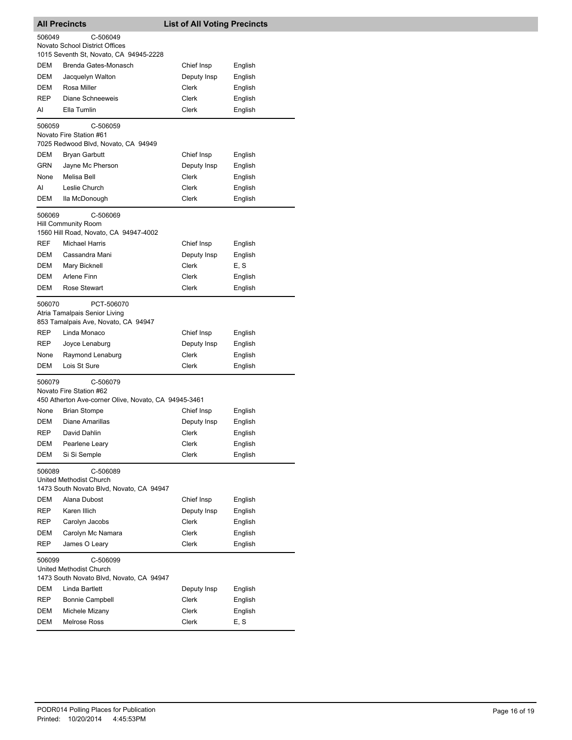| <b>All Precincts</b>                                                                                  |                                                                                    | <b>List of All Voting Precincts</b> |         |  |
|-------------------------------------------------------------------------------------------------------|------------------------------------------------------------------------------------|-------------------------------------|---------|--|
| 506049                                                                                                | C-506049                                                                           |                                     |         |  |
|                                                                                                       | Novato School District Offices                                                     |                                     |         |  |
|                                                                                                       | 1015 Seventh St, Novato, CA 94945-2228                                             |                                     |         |  |
| DEM                                                                                                   | Brenda Gates-Monasch                                                               | Chief Insp                          | English |  |
| DEM                                                                                                   | Jacquelyn Walton                                                                   | Deputy Insp                         | English |  |
| DEM                                                                                                   | Rosa Miller                                                                        | Clerk                               | English |  |
| <b>REP</b>                                                                                            | Diane Schneeweis                                                                   | Clerk                               | English |  |
| AI                                                                                                    | Ella Tumlin                                                                        | Clerk                               | English |  |
| 506059                                                                                                | C-506059<br>Novato Fire Station #61<br>7025 Redwood Blvd, Novato, CA 94949         |                                     |         |  |
| DEM                                                                                                   | Bryan Garbutt                                                                      | Chief Insp                          | English |  |
| GRN                                                                                                   | Jayne Mc Pherson                                                                   | Deputy Insp                         | English |  |
| None                                                                                                  | Melisa Bell                                                                        | Clerk                               | English |  |
| AI                                                                                                    | Leslie Church                                                                      | Clerk                               | English |  |
| DEM                                                                                                   | lla McDonough                                                                      | Clerk                               | English |  |
| 506069                                                                                                | C-506069<br><b>Hill Community Room</b>                                             |                                     |         |  |
|                                                                                                       | 1560 Hill Road, Novato, CA 94947-4002                                              |                                     |         |  |
| <b>REF</b>                                                                                            | <b>Michael Harris</b>                                                              | Chief Insp                          | English |  |
| DEM                                                                                                   | Cassandra Mani                                                                     | Deputy Insp                         | English |  |
| DEM                                                                                                   | Mary Bicknell                                                                      | Clerk                               | E, S    |  |
| DEM                                                                                                   | Arlene Finn                                                                        | Clerk                               | English |  |
| <b>DEM</b>                                                                                            | Rose Stewart                                                                       | Clerk                               | English |  |
| 506070                                                                                                | PCT-506070<br>Atria Tamalpais Senior Living<br>853 Tamalpais Ave, Novato, CA 94947 |                                     |         |  |
| REP                                                                                                   | Linda Monaco                                                                       | Chief Insp                          | English |  |
| REP                                                                                                   | Joyce Lenaburg                                                                     | Deputy Insp                         | English |  |
| None                                                                                                  | Raymond Lenaburg                                                                   | Clerk                               | English |  |
| DEM                                                                                                   | Lois St Sure                                                                       | Clerk                               | English |  |
| C-506079<br>506079<br>Novato Fire Station #62<br>450 Atherton Ave-corner Olive, Novato, CA 94945-3461 |                                                                                    |                                     |         |  |
| None                                                                                                  | Brian Stompe                                                                       | Chief Insp                          | English |  |
| DEM                                                                                                   | Diane Amarillas                                                                    | Deputy Insp                         | English |  |
| REP                                                                                                   | David Dahlin                                                                       | Clerk                               | English |  |
| DEM                                                                                                   | Pearlene Leary                                                                     | Clerk                               | English |  |
| <b>DEM</b>                                                                                            | Si Si Semple                                                                       | Clerk                               | English |  |
| 506089<br>C-506089<br><b>United Methodist Church</b><br>1473 South Novato Blvd, Novato, CA 94947      |                                                                                    |                                     |         |  |
| DEM                                                                                                   | Alana Dubost                                                                       | Chief Insp                          | English |  |
| REP                                                                                                   | Karen Illich                                                                       | Deputy Insp                         | English |  |
| REP                                                                                                   | Carolyn Jacobs                                                                     | Clerk                               | English |  |
| DEM                                                                                                   | Carolyn Mc Namara                                                                  | Clerk                               | English |  |
| REP                                                                                                   | James O Leary                                                                      | Clerk                               | English |  |
| 506099                                                                                                | C-506099<br>United Methodist Church<br>1473 South Novato Blvd, Novato, CA 94947    |                                     |         |  |
| DEM                                                                                                   | Linda Bartlett                                                                     | Deputy Insp                         | English |  |
| REP                                                                                                   | <b>Bonnie Campbell</b>                                                             | Clerk                               | English |  |
| DEM                                                                                                   | Michele Mizany                                                                     | Clerk                               | English |  |
| DEM                                                                                                   | <b>Melrose Ross</b>                                                                | Clerk                               | E, S    |  |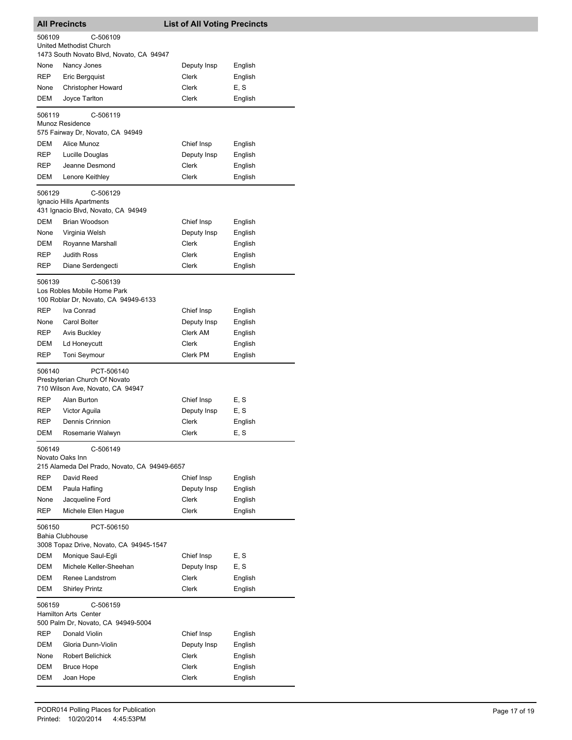| <b>All Precincts</b>                                                                      |                                                                                 | <b>List of All Voting Precincts</b> |         |  |  |
|-------------------------------------------------------------------------------------------|---------------------------------------------------------------------------------|-------------------------------------|---------|--|--|
| 506109<br>C-506109<br><b>United Methodist Church</b>                                      |                                                                                 |                                     |         |  |  |
|                                                                                           | 1473 South Novato Blvd, Novato, CA 94947                                        |                                     |         |  |  |
| None                                                                                      | Nancy Jones                                                                     | Deputy Insp                         | English |  |  |
| REP                                                                                       | Eric Bergquist                                                                  | Clerk                               | English |  |  |
| None                                                                                      | <b>Christopher Howard</b>                                                       | Clerk                               | E, S    |  |  |
| DEM                                                                                       | Joyce Tarlton                                                                   | Clerk                               | English |  |  |
| 506119                                                                                    | C-506119<br>Munoz Residence<br>575 Fairway Dr, Novato, CA 94949                 |                                     |         |  |  |
| DEM                                                                                       | Alice Munoz                                                                     | Chief Insp                          | English |  |  |
| REP                                                                                       | Lucille Douglas                                                                 | Deputy Insp                         | English |  |  |
| REP                                                                                       | Jeanne Desmond                                                                  | Clerk                               | English |  |  |
| DEM                                                                                       | Lenore Keithley                                                                 | Clerk                               | English |  |  |
| 506129                                                                                    | C-506129<br>Ignacio Hills Apartments<br>431 Ignacio Blvd, Novato, CA 94949      |                                     |         |  |  |
| <b>DEM</b>                                                                                | Brian Woodson                                                                   | Chief Insp                          | English |  |  |
| None                                                                                      | Virginia Welsh                                                                  | Deputy Insp                         | English |  |  |
| DEM                                                                                       | Royanne Marshall                                                                | Clerk                               | English |  |  |
| REP                                                                                       | <b>Judith Ross</b>                                                              | Clerk                               | English |  |  |
| REP                                                                                       | Diane Serdengecti                                                               | <b>Clerk</b>                        | English |  |  |
| 506139                                                                                    | C-506139<br>Los Robles Mobile Home Park<br>100 Roblar Dr, Novato, CA 94949-6133 |                                     |         |  |  |
| REP                                                                                       | Iva Conrad                                                                      | Chief Insp                          | English |  |  |
| None                                                                                      | Carol Bolter                                                                    | Deputy Insp                         | English |  |  |
| <b>REP</b>                                                                                | Avis Buckley                                                                    | Clerk AM                            | English |  |  |
| DEM                                                                                       | Ld Honeycutt                                                                    | Clerk                               | English |  |  |
| <b>REP</b>                                                                                | Toni Seymour                                                                    | Clerk PM                            | English |  |  |
| 506140<br>PCT-506140<br>Presbyterian Church Of Novato<br>710 Wilson Ave, Novato, CA 94947 |                                                                                 |                                     |         |  |  |
| REP                                                                                       | Alan Burton                                                                     | Chief Insp                          | E, S    |  |  |
| REP                                                                                       | Victor Aguila                                                                   | Deputy Insp                         | E, S    |  |  |
| REP                                                                                       | Dennis Crinnion                                                                 | Clerk                               | English |  |  |
| <b>DEM</b>                                                                                | Rosemarie Walwyn                                                                | Clerk                               | E, S    |  |  |
| 506149<br>C-506149<br>Novato Oaks Inn<br>215 Alameda Del Prado, Novato, CA 94949-6657     |                                                                                 |                                     |         |  |  |
| REP                                                                                       | David Reed                                                                      | Chief Insp                          | English |  |  |
| <b>DEM</b>                                                                                | Paula Hafling                                                                   | Deputy Insp                         | English |  |  |
| None                                                                                      | Jacqueline Ford                                                                 | Clerk                               | English |  |  |
| REP                                                                                       | Michele Ellen Hague                                                             | Clerk                               | English |  |  |
| 506150<br>PCT-506150<br>Bahia Clubhouse<br>3008 Topaz Drive, Novato, CA 94945-1547        |                                                                                 |                                     |         |  |  |
| DEM                                                                                       | Monique Saul-Egli                                                               | Chief Insp                          | E, S    |  |  |
| DEM                                                                                       | Michele Keller-Sheehan                                                          | Deputy Insp                         | E, S    |  |  |
| DEM                                                                                       | Renee Landstrom                                                                 | Clerk                               | English |  |  |
| DEM                                                                                       | <b>Shirley Printz</b>                                                           | Clerk                               | English |  |  |
| 506159                                                                                    | C-506159<br>Hamilton Arts Center<br>500 Palm Dr, Novato, CA 94949-5004          |                                     |         |  |  |
| <b>REP</b>                                                                                | Donald Violin                                                                   | Chief Insp                          | English |  |  |
| DEM                                                                                       | Gloria Dunn-Violin                                                              | Deputy Insp                         | English |  |  |
| None                                                                                      | Robert Belichick                                                                | Clerk                               | English |  |  |
| DEM                                                                                       | <b>Bruce Hope</b>                                                               | Clerk                               | English |  |  |
| DEM                                                                                       | Joan Hope                                                                       | Clerk                               | English |  |  |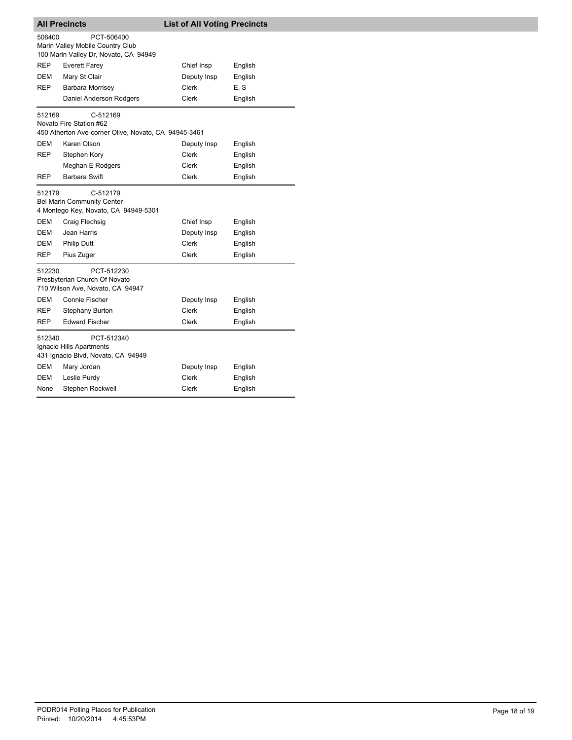| <b>All Precincts</b> |                                                                                             | <b>List of All Voting Precincts</b> |         |  |
|----------------------|---------------------------------------------------------------------------------------------|-------------------------------------|---------|--|
| 506400               | PCT-506400<br>Marin Valley Mobile Country Club<br>100 Marin Valley Dr, Novato, CA 94949     |                                     |         |  |
| REP                  | Everett Farey                                                                               | Chief Insp                          | English |  |
| DEM                  | Mary St Clair                                                                               | Deputy Insp                         | English |  |
| REP                  | Barbara Morrisey                                                                            | Clerk                               | E, S    |  |
|                      | Daniel Anderson Rodgers                                                                     | <b>Clerk</b>                        | English |  |
| 512169               | C-512169<br>Novato Fire Station #62<br>450 Atherton Ave-corner Olive, Novato, CA 94945-3461 |                                     |         |  |
| DEM                  | Karen Olson                                                                                 | Deputy Insp                         | English |  |
| REP                  | Stephen Kory                                                                                | Clerk                               | English |  |
|                      | Meghan E Rodgers                                                                            | Clerk                               | English |  |
| <b>REP</b>           | Barbara Swift                                                                               | <b>Clerk</b>                        | English |  |
| 512179               | C-512179<br><b>Bel Marin Community Center</b><br>4 Montego Key, Novato, CA 94949-5301       |                                     |         |  |
| DEM                  | Craig Flechsig                                                                              | Chief Insp                          | English |  |
| DEM                  | Jean Harris                                                                                 | Deputy Insp                         | English |  |
| DEM                  | <b>Philip Dutt</b>                                                                          | <b>Clerk</b>                        | English |  |
| REP                  | Pius Zuger                                                                                  | <b>Clerk</b>                        | English |  |
| 512230               | PCT-512230<br>Presbyterian Church Of Novato<br>710 Wilson Ave, Novato, CA 94947             |                                     |         |  |
| <b>DEM</b>           | Connie Fischer                                                                              | Deputy Insp                         | English |  |
| REP                  | Stephany Burton                                                                             | <b>Clerk</b>                        | English |  |
| REP                  | <b>Edward Fischer</b>                                                                       | Clerk                               | English |  |
| 512340               | PCT-512340<br>Ignacio Hills Apartments<br>431 Ignacio Blvd, Novato, CA 94949                |                                     |         |  |
| DEM                  | Mary Jordan                                                                                 | Deputy Insp                         | English |  |
| DEM                  | Leslie Purdy                                                                                | <b>Clerk</b>                        | English |  |
| None                 | Stephen Rockwell                                                                            | Clerk                               | English |  |